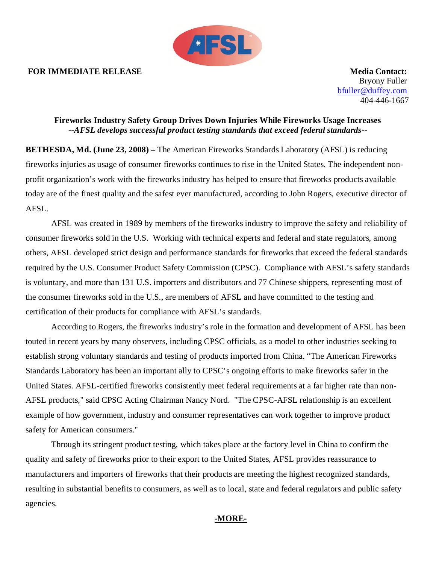### **FOR IMMEDIATE RELEASE Media Contact:**



Bryony Fuller [bfuller@duffey.com](mailto:bfuller@duffey.com) 404-446-1667

# **Fireworks Industry Safety Group Drives Down Injuries While Fireworks Usage Increases** *--AFSL develops successful product testing standards that exceed federal standards--*

**BETHESDA, Md. (June 23, 2008) –** The American Fireworks Standards Laboratory (AFSL) is reducing fireworks injuries as usage of consumer fireworks continues to rise in the United States. The independent nonprofit organization's work with the fireworks industry has helped to ensure that fireworks products available today are of the finest quality and the safest ever manufactured, according to John Rogers, executive director of AFSL.

AFSL was created in 1989 by members of the fireworks industry to improve the safety and reliability of consumer fireworks sold in the U.S. Working with technical experts and federal and state regulators, among others, AFSL developed strict design and performance standards for fireworks that exceed the federal standards required by the U.S. Consumer Product Safety Commission (CPSC). Compliance with AFSL's safety standards is voluntary, and more than 131 U.S. importers and distributors and 77 Chinese shippers, representing most of the consumer fireworks sold in the U.S., are members of AFSL and have committed to the testing and certification of their products for compliance with AFSL's standards.

According to Rogers, the fireworks industry's role in the formation and development of AFSL has been touted in recent years by many observers, including CPSC officials, as a model to other industries seeking to establish strong voluntary standards and testing of products imported from China. "The American Fireworks Standards Laboratory has been an important ally to CPSC's ongoing efforts to make fireworks safer in the United States. AFSL-certified fireworks consistently meet federal requirements at a far higher rate than non-AFSL products," said CPSC Acting Chairman Nancy Nord. "The CPSC-AFSL relationship is an excellent example of how government, industry and consumer representatives can work together to improve product safety for American consumers."

Through its stringent product testing, which takes place at the factory level in China to confirm the quality and safety of fireworks prior to their export to the United States, AFSL provides reassurance to manufacturers and importers of fireworks that their products are meeting the highest recognized standards, resulting in substantial benefits to consumers, as well as to local, state and federal regulators and public safety agencies.

# **-MORE-**